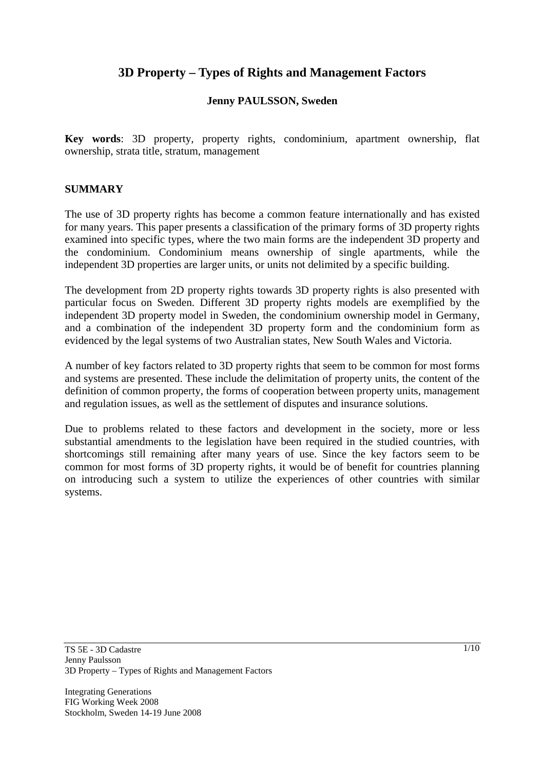# **3D Property – Types of Rights and Management Factors**

#### **Jenny PAULSSON, Sweden**

**Key words**: 3D property, property rights, condominium, apartment ownership, flat ownership, strata title, stratum, management

#### **SUMMARY**

The use of 3D property rights has become a common feature internationally and has existed for many years. This paper presents a classification of the primary forms of 3D property rights examined into specific types, where the two main forms are the independent 3D property and the condominium. Condominium means ownership of single apartments, while the independent 3D properties are larger units, or units not delimited by a specific building.

The development from 2D property rights towards 3D property rights is also presented with particular focus on Sweden. Different 3D property rights models are exemplified by the independent 3D property model in Sweden, the condominium ownership model in Germany, and a combination of the independent 3D property form and the condominium form as evidenced by the legal systems of two Australian states, New South Wales and Victoria.

A number of key factors related to 3D property rights that seem to be common for most forms and systems are presented. These include the delimitation of property units, the content of the definition of common property, the forms of cooperation between property units, management and regulation issues, as well as the settlement of disputes and insurance solutions.

Due to problems related to these factors and development in the society, more or less substantial amendments to the legislation have been required in the studied countries, with shortcomings still remaining after many years of use. Since the key factors seem to be common for most forms of 3D property rights, it would be of benefit for countries planning on introducing such a system to utilize the experiences of other countries with similar systems.

Integrating Generations FIG Working Week 2008 Stockholm, Sweden 14-19 June 2008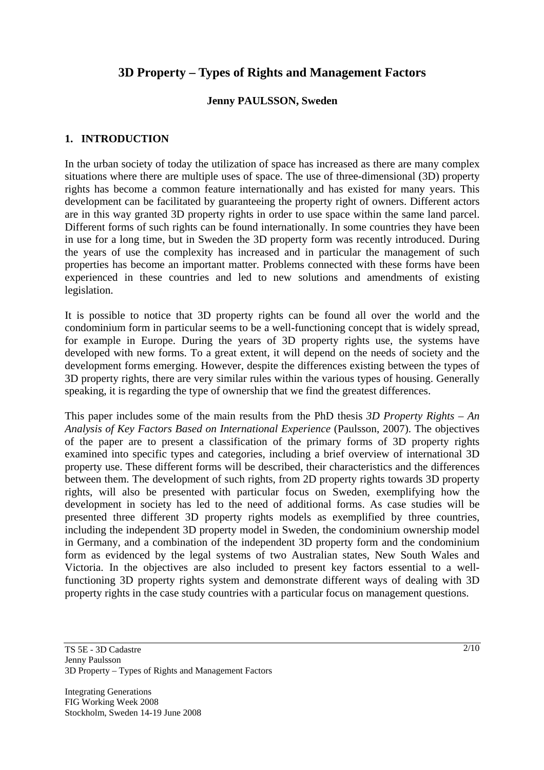# **3D Property – Types of Rights and Management Factors**

#### **Jenny PAULSSON, Sweden**

#### **1. INTRODUCTION**

In the urban society of today the utilization of space has increased as there are many complex situations where there are multiple uses of space. The use of three-dimensional (3D) property rights has become a common feature internationally and has existed for many years. This development can be facilitated by guaranteeing the property right of owners. Different actors are in this way granted 3D property rights in order to use space within the same land parcel. Different forms of such rights can be found internationally. In some countries they have been in use for a long time, but in Sweden the 3D property form was recently introduced. During the years of use the complexity has increased and in particular the management of such properties has become an important matter. Problems connected with these forms have been experienced in these countries and led to new solutions and amendments of existing legislation.

It is possible to notice that 3D property rights can be found all over the world and the condominium form in particular seems to be a well-functioning concept that is widely spread, for example in Europe. During the years of 3D property rights use, the systems have developed with new forms. To a great extent, it will depend on the needs of society and the development forms emerging. However, despite the differences existing between the types of 3D property rights, there are very similar rules within the various types of housing. Generally speaking, it is regarding the type of ownership that we find the greatest differences.

This paper includes some of the main results from the PhD thesis *3D Property Rights – An Analysis of Key Factors Based on International Experience* (Paulsson, 2007). The objectives of the paper are to present a classification of the primary forms of 3D property rights examined into specific types and categories, including a brief overview of international 3D property use. These different forms will be described, their characteristics and the differences between them. The development of such rights, from 2D property rights towards 3D property rights, will also be presented with particular focus on Sweden, exemplifying how the development in society has led to the need of additional forms. As case studies will be presented three different 3D property rights models as exemplified by three countries, including the independent 3D property model in Sweden, the condominium ownership model in Germany, and a combination of the independent 3D property form and the condominium form as evidenced by the legal systems of two Australian states, New South Wales and Victoria. In the objectives are also included to present key factors essential to a wellfunctioning 3D property rights system and demonstrate different ways of dealing with 3D property rights in the case study countries with a particular focus on management questions.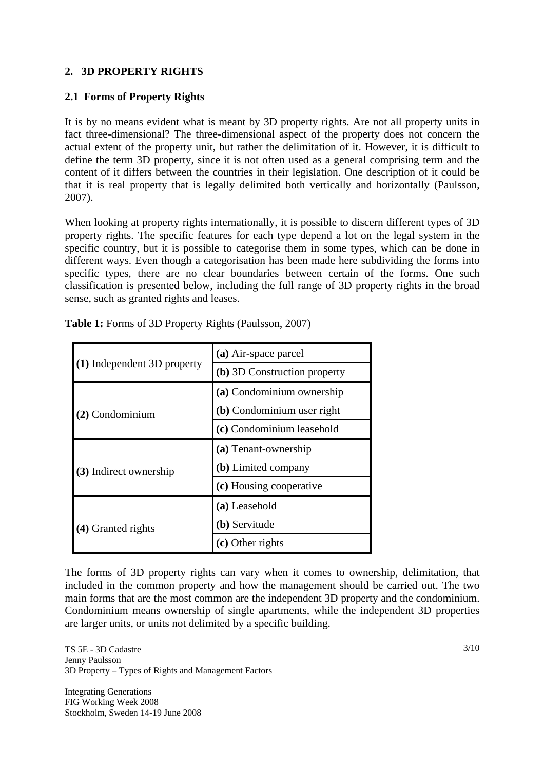### **2. 3D PROPERTY RIGHTS**

### **2.1 Forms of Property Rights**

It is by no means evident what is meant by 3D property rights. Are not all property units in fact three-dimensional? The three-dimensional aspect of the property does not concern the actual extent of the property unit, but rather the delimitation of it. However, it is difficult to define the term 3D property, since it is not often used as a general comprising term and the content of it differs between the countries in their legislation. One description of it could be that it is real property that is legally delimited both vertically and horizontally (Paulsson, 2007).

When looking at property rights internationally, it is possible to discern different types of 3D property rights. The specific features for each type depend a lot on the legal system in the specific country, but it is possible to categorise them in some types, which can be done in different ways. Even though a categorisation has been made here subdividing the forms into specific types, there are no clear boundaries between certain of the forms. One such classification is presented below, including the full range of 3D property rights in the broad sense, such as granted rights and leases.

| (1) Independent 3D property | (a) Air-space parcel         |
|-----------------------------|------------------------------|
|                             | (b) 3D Construction property |
| (2) Condominium             | (a) Condominium ownership    |
|                             | (b) Condominium user right   |
|                             | (c) Condominium leasehold    |
| (3) Indirect ownership      | (a) Tenant-ownership         |
|                             | (b) Limited company          |
|                             | (c) Housing cooperative      |
| (4) Granted rights          | (a) Leasehold                |
|                             | (b) Servitude                |
|                             | $(c)$ Other rights           |

**Table 1:** Forms of 3D Property Rights (Paulsson, 2007)

The forms of 3D property rights can vary when it comes to ownership, delimitation, that included in the common property and how the management should be carried out. The two main forms that are the most common are the independent 3D property and the condominium. Condominium means ownership of single apartments, while the independent 3D properties are larger units, or units not delimited by a specific building.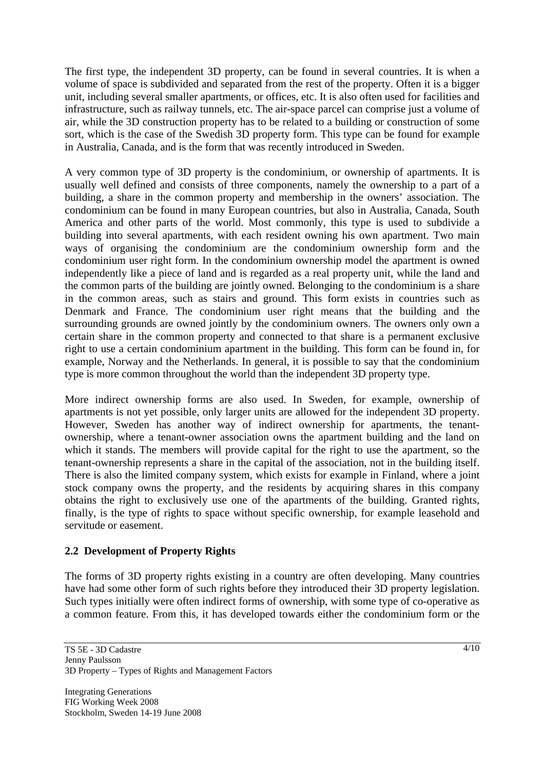The first type, the independent 3D property, can be found in several countries. It is when a volume of space is subdivided and separated from the rest of the property. Often it is a bigger unit, including several smaller apartments, or offices, etc. It is also often used for facilities and infrastructure, such as railway tunnels, etc. The air-space parcel can comprise just a volume of air, while the 3D construction property has to be related to a building or construction of some sort, which is the case of the Swedish 3D property form. This type can be found for example in Australia, Canada, and is the form that was recently introduced in Sweden.

A very common type of 3D property is the condominium, or ownership of apartments. It is usually well defined and consists of three components, namely the ownership to a part of a building, a share in the common property and membership in the owners' association. The condominium can be found in many European countries, but also in Australia, Canada, South America and other parts of the world. Most commonly, this type is used to subdivide a building into several apartments, with each resident owning his own apartment. Two main ways of organising the condominium are the condominium ownership form and the condominium user right form. In the condominium ownership model the apartment is owned independently like a piece of land and is regarded as a real property unit, while the land and the common parts of the building are jointly owned. Belonging to the condominium is a share in the common areas, such as stairs and ground. This form exists in countries such as Denmark and France. The condominium user right means that the building and the surrounding grounds are owned jointly by the condominium owners. The owners only own a certain share in the common property and connected to that share is a permanent exclusive right to use a certain condominium apartment in the building. This form can be found in, for example, Norway and the Netherlands. In general, it is possible to say that the condominium type is more common throughout the world than the independent 3D property type.

More indirect ownership forms are also used. In Sweden, for example, ownership of apartments is not yet possible, only larger units are allowed for the independent 3D property. However, Sweden has another way of indirect ownership for apartments, the tenantownership, where a tenant-owner association owns the apartment building and the land on which it stands. The members will provide capital for the right to use the apartment, so the tenant-ownership represents a share in the capital of the association, not in the building itself. There is also the limited company system, which exists for example in Finland, where a joint stock company owns the property, and the residents by acquiring shares in this company obtains the right to exclusively use one of the apartments of the building. Granted rights, finally, is the type of rights to space without specific ownership, for example leasehold and servitude or easement.

#### **2.2 Development of Property Rights**

The forms of 3D property rights existing in a country are often developing. Many countries have had some other form of such rights before they introduced their 3D property legislation. Such types initially were often indirect forms of ownership, with some type of co-operative as a common feature. From this, it has developed towards either the condominium form or the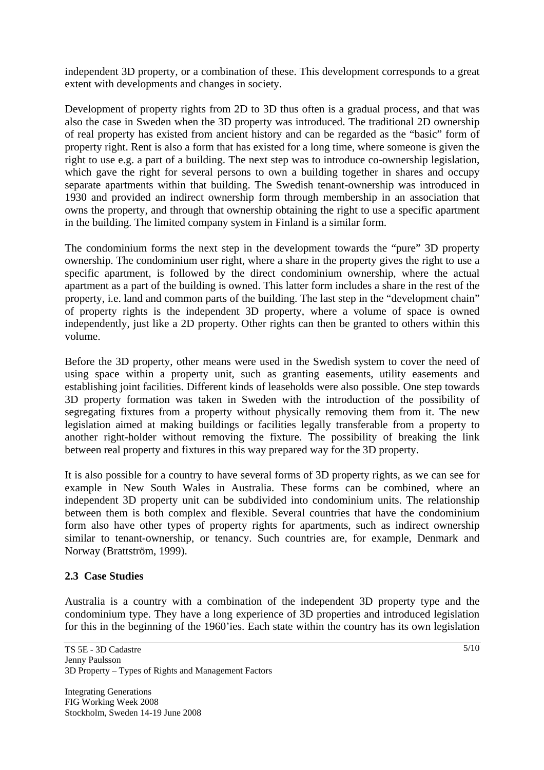independent 3D property, or a combination of these. This development corresponds to a great extent with developments and changes in society.

Development of property rights from 2D to 3D thus often is a gradual process, and that was also the case in Sweden when the 3D property was introduced. The traditional 2D ownership of real property has existed from ancient history and can be regarded as the "basic" form of property right. Rent is also a form that has existed for a long time, where someone is given the right to use e.g. a part of a building. The next step was to introduce co-ownership legislation, which gave the right for several persons to own a building together in shares and occupy separate apartments within that building. The Swedish tenant-ownership was introduced in 1930 and provided an indirect ownership form through membership in an association that owns the property, and through that ownership obtaining the right to use a specific apartment in the building. The limited company system in Finland is a similar form.

The condominium forms the next step in the development towards the "pure" 3D property ownership. The condominium user right, where a share in the property gives the right to use a specific apartment, is followed by the direct condominium ownership, where the actual apartment as a part of the building is owned. This latter form includes a share in the rest of the property, i.e. land and common parts of the building. The last step in the "development chain" of property rights is the independent 3D property, where a volume of space is owned independently, just like a 2D property. Other rights can then be granted to others within this volume.

Before the 3D property, other means were used in the Swedish system to cover the need of using space within a property unit, such as granting easements, utility easements and establishing joint facilities. Different kinds of leaseholds were also possible. One step towards 3D property formation was taken in Sweden with the introduction of the possibility of segregating fixtures from a property without physically removing them from it. The new legislation aimed at making buildings or facilities legally transferable from a property to another right-holder without removing the fixture. The possibility of breaking the link between real property and fixtures in this way prepared way for the 3D property.

It is also possible for a country to have several forms of 3D property rights, as we can see for example in New South Wales in Australia. These forms can be combined, where an independent 3D property unit can be subdivided into condominium units. The relationship between them is both complex and flexible. Several countries that have the condominium form also have other types of property rights for apartments, such as indirect ownership similar to tenant-ownership, or tenancy. Such countries are, for example, Denmark and Norway (Brattström, 1999).

#### **2.3 Case Studies**

Australia is a country with a combination of the independent 3D property type and the condominium type. They have a long experience of 3D properties and introduced legislation for this in the beginning of the 1960'ies. Each state within the country has its own legislation

Integrating Generations FIG Working Week 2008 Stockholm, Sweden 14-19 June 2008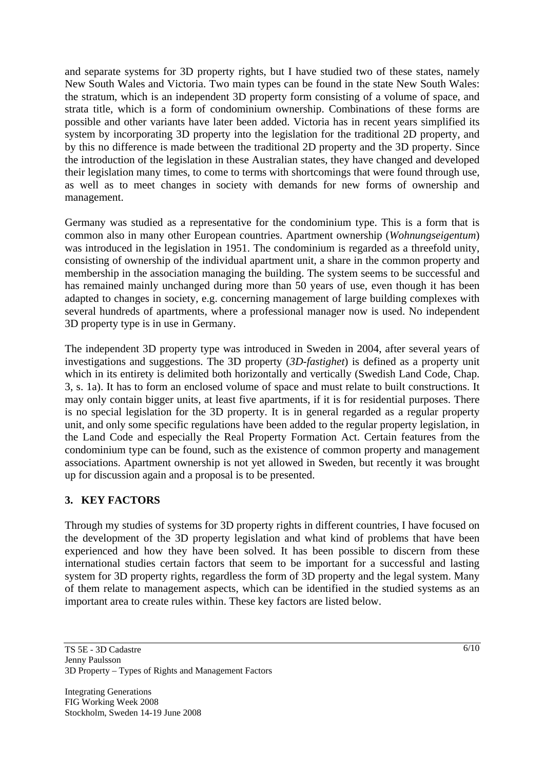and separate systems for 3D property rights, but I have studied two of these states, namely New South Wales and Victoria. Two main types can be found in the state New South Wales: the stratum, which is an independent 3D property form consisting of a volume of space, and strata title, which is a form of condominium ownership. Combinations of these forms are possible and other variants have later been added. Victoria has in recent years simplified its system by incorporating 3D property into the legislation for the traditional 2D property, and by this no difference is made between the traditional 2D property and the 3D property. Since the introduction of the legislation in these Australian states, they have changed and developed their legislation many times, to come to terms with shortcomings that were found through use, as well as to meet changes in society with demands for new forms of ownership and management.

Germany was studied as a representative for the condominium type. This is a form that is common also in many other European countries. Apartment ownership (*Wohnungseigentum*) was introduced in the legislation in 1951. The condominium is regarded as a threefold unity, consisting of ownership of the individual apartment unit, a share in the common property and membership in the association managing the building. The system seems to be successful and has remained mainly unchanged during more than 50 years of use, even though it has been adapted to changes in society, e.g. concerning management of large building complexes with several hundreds of apartments, where a professional manager now is used. No independent 3D property type is in use in Germany.

The independent 3D property type was introduced in Sweden in 2004, after several years of investigations and suggestions. The 3D property (*3D-fastighet*) is defined as a property unit which in its entirety is delimited both horizontally and vertically (Swedish Land Code, Chap. 3, s. 1a). It has to form an enclosed volume of space and must relate to built constructions. It may only contain bigger units, at least five apartments, if it is for residential purposes. There is no special legislation for the 3D property. It is in general regarded as a regular property unit, and only some specific regulations have been added to the regular property legislation, in the Land Code and especially the Real Property Formation Act. Certain features from the condominium type can be found, such as the existence of common property and management associations. Apartment ownership is not yet allowed in Sweden, but recently it was brought up for discussion again and a proposal is to be presented.

## **3. KEY FACTORS**

Through my studies of systems for 3D property rights in different countries, I have focused on the development of the 3D property legislation and what kind of problems that have been experienced and how they have been solved. It has been possible to discern from these international studies certain factors that seem to be important for a successful and lasting system for 3D property rights, regardless the form of 3D property and the legal system. Many of them relate to management aspects, which can be identified in the studied systems as an important area to create rules within. These key factors are listed below.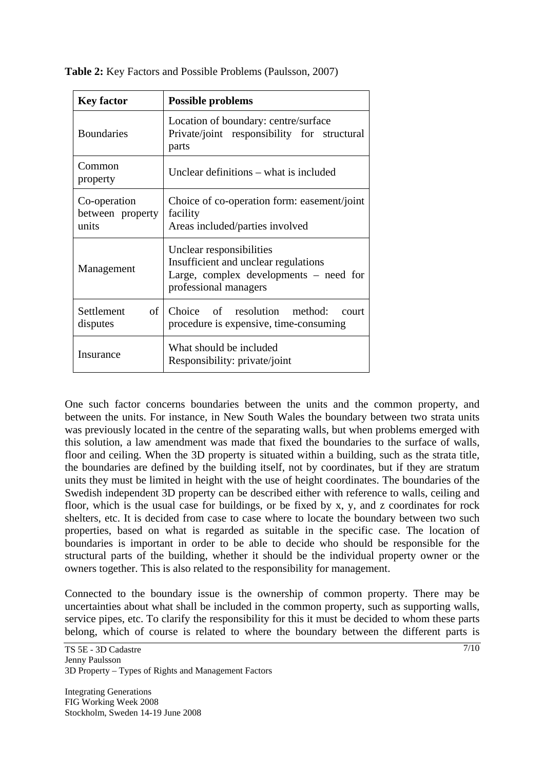| <b>Key factor</b>                         | <b>Possible problems</b>                                                                                                              |
|-------------------------------------------|---------------------------------------------------------------------------------------------------------------------------------------|
| <b>Boundaries</b>                         | Location of boundary: centre/surface<br>Private/joint responsibility for structural<br>parts                                          |
| Common<br>property                        | Unclear definitions – what is included                                                                                                |
| Co-operation<br>between property<br>units | Choice of co-operation form: easement/joint<br>facility<br>Areas included/parties involved                                            |
| Management                                | Unclear responsibilities<br>Insufficient and unclear regulations<br>Large, complex developments $-$ need for<br>professional managers |
| Settlement<br>of 1<br>disputes            | Choice of resolution method:<br>court<br>procedure is expensive, time-consuming                                                       |
| Insurance                                 | What should be included<br>Responsibility: private/joint                                                                              |

**Table 2:** Key Factors and Possible Problems (Paulsson, 2007)

One such factor concerns boundaries between the units and the common property, and between the units. For instance, in New South Wales the boundary between two strata units was previously located in the centre of the separating walls, but when problems emerged with this solution, a law amendment was made that fixed the boundaries to the surface of walls, floor and ceiling. When the 3D property is situated within a building, such as the strata title, the boundaries are defined by the building itself, not by coordinates, but if they are stratum units they must be limited in height with the use of height coordinates. The boundaries of the Swedish independent 3D property can be described either with reference to walls, ceiling and floor, which is the usual case for buildings, or be fixed by x, y, and z coordinates for rock shelters, etc. It is decided from case to case where to locate the boundary between two such properties, based on what is regarded as suitable in the specific case. The location of boundaries is important in order to be able to decide who should be responsible for the structural parts of the building, whether it should be the individual property owner or the owners together. This is also related to the responsibility for management.

Connected to the boundary issue is the ownership of common property. There may be uncertainties about what shall be included in the common property, such as supporting walls, service pipes, etc. To clarify the responsibility for this it must be decided to whom these parts belong, which of course is related to where the boundary between the different parts is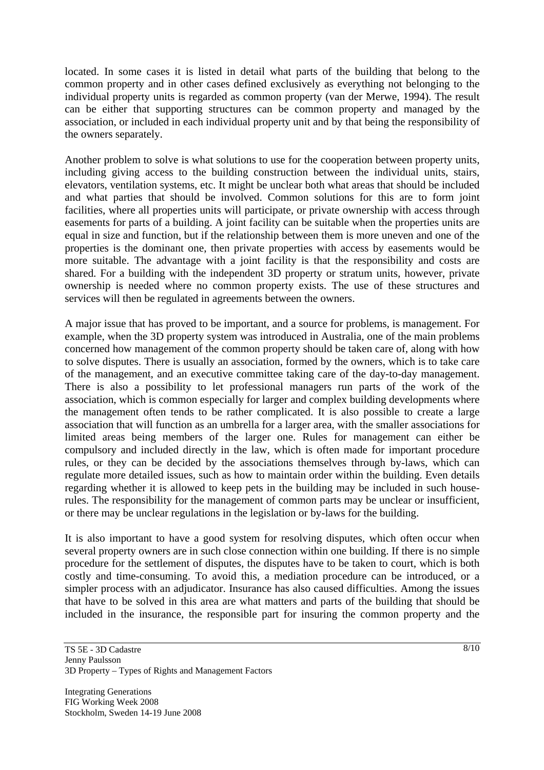located. In some cases it is listed in detail what parts of the building that belong to the common property and in other cases defined exclusively as everything not belonging to the individual property units is regarded as common property (van der Merwe, 1994). The result can be either that supporting structures can be common property and managed by the association, or included in each individual property unit and by that being the responsibility of the owners separately.

Another problem to solve is what solutions to use for the cooperation between property units, including giving access to the building construction between the individual units, stairs, elevators, ventilation systems, etc. It might be unclear both what areas that should be included and what parties that should be involved. Common solutions for this are to form joint facilities, where all properties units will participate, or private ownership with access through easements for parts of a building. A joint facility can be suitable when the properties units are equal in size and function, but if the relationship between them is more uneven and one of the properties is the dominant one, then private properties with access by easements would be more suitable. The advantage with a joint facility is that the responsibility and costs are shared. For a building with the independent 3D property or stratum units, however, private ownership is needed where no common property exists. The use of these structures and services will then be regulated in agreements between the owners.

A major issue that has proved to be important, and a source for problems, is management. For example, when the 3D property system was introduced in Australia, one of the main problems concerned how management of the common property should be taken care of, along with how to solve disputes. There is usually an association, formed by the owners, which is to take care of the management, and an executive committee taking care of the day-to-day management. There is also a possibility to let professional managers run parts of the work of the association, which is common especially for larger and complex building developments where the management often tends to be rather complicated. It is also possible to create a large association that will function as an umbrella for a larger area, with the smaller associations for limited areas being members of the larger one. Rules for management can either be compulsory and included directly in the law, which is often made for important procedure rules, or they can be decided by the associations themselves through by-laws, which can regulate more detailed issues, such as how to maintain order within the building. Even details regarding whether it is allowed to keep pets in the building may be included in such houserules. The responsibility for the management of common parts may be unclear or insufficient, or there may be unclear regulations in the legislation or by-laws for the building.

It is also important to have a good system for resolving disputes, which often occur when several property owners are in such close connection within one building. If there is no simple procedure for the settlement of disputes, the disputes have to be taken to court, which is both costly and time-consuming. To avoid this, a mediation procedure can be introduced, or a simpler process with an adjudicator. Insurance has also caused difficulties. Among the issues that have to be solved in this area are what matters and parts of the building that should be included in the insurance, the responsible part for insuring the common property and the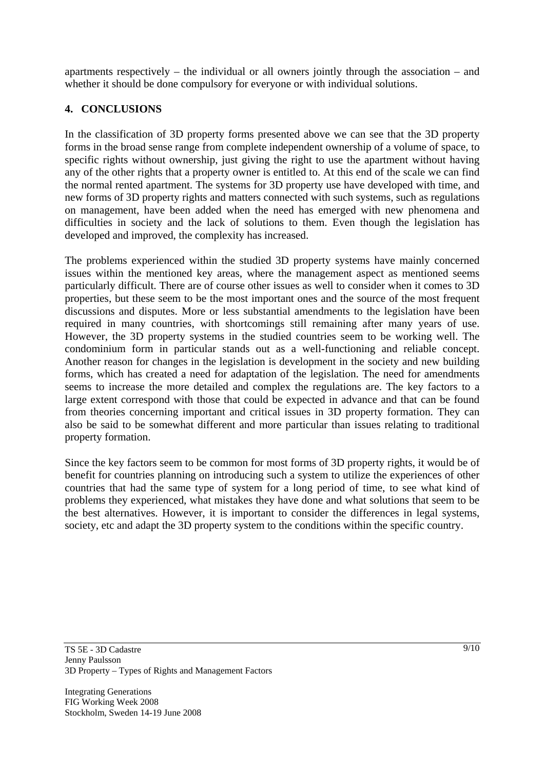apartments respectively – the individual or all owners jointly through the association – and whether it should be done compulsory for everyone or with individual solutions.

## **4. CONCLUSIONS**

In the classification of 3D property forms presented above we can see that the 3D property forms in the broad sense range from complete independent ownership of a volume of space, to specific rights without ownership, just giving the right to use the apartment without having any of the other rights that a property owner is entitled to. At this end of the scale we can find the normal rented apartment. The systems for 3D property use have developed with time, and new forms of 3D property rights and matters connected with such systems, such as regulations on management, have been added when the need has emerged with new phenomena and difficulties in society and the lack of solutions to them. Even though the legislation has developed and improved, the complexity has increased.

The problems experienced within the studied 3D property systems have mainly concerned issues within the mentioned key areas, where the management aspect as mentioned seems particularly difficult. There are of course other issues as well to consider when it comes to 3D properties, but these seem to be the most important ones and the source of the most frequent discussions and disputes. More or less substantial amendments to the legislation have been required in many countries, with shortcomings still remaining after many years of use. However, the 3D property systems in the studied countries seem to be working well. The condominium form in particular stands out as a well-functioning and reliable concept. Another reason for changes in the legislation is development in the society and new building forms, which has created a need for adaptation of the legislation. The need for amendments seems to increase the more detailed and complex the regulations are. The key factors to a large extent correspond with those that could be expected in advance and that can be found from theories concerning important and critical issues in 3D property formation. They can also be said to be somewhat different and more particular than issues relating to traditional property formation.

Since the key factors seem to be common for most forms of 3D property rights, it would be of benefit for countries planning on introducing such a system to utilize the experiences of other countries that had the same type of system for a long period of time, to see what kind of problems they experienced, what mistakes they have done and what solutions that seem to be the best alternatives. However, it is important to consider the differences in legal systems, society, etc and adapt the 3D property system to the conditions within the specific country.